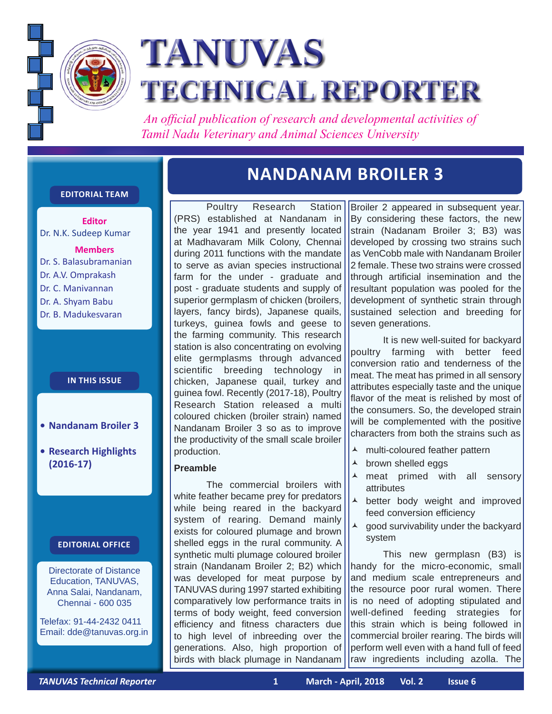

# **TANUVAS TECHNICAL REPORTER**

 *An official publication of research and developmental activities of Tamil Nadu Veterinary and Animal Sciences University*

#### **Editorial Team**

**Editor** Dr. N.K. Sudeep Kumar

**Members** Dr. S. Balasubramanian Dr. A.V. Omprakash Dr. C. Manivannan Dr. A. Shyam Babu Dr. B. Madukesvaran

#### **In this issue**

- **• Nandanam Broiler 3**
- **• Research Highlights (2016-17)**

#### **Editorial Office**

Directorate of Distance Education, TANUVAS, Anna Salai, Nandanam, Chennai - 600 035

Telefax: 91-44-2432 0411 Email: dde@tanuvas.org.in

## **NANDANAM BROILER 3**

Poultry Research Station (PRS) established at Nandanam in the year 1941 and presently located at Madhavaram Milk Colony, Chennai during 2011 functions with the mandate to serve as avian species instructional farm for the under - graduate and post - graduate students and supply of superior germplasm of chicken (broilers, layers, fancy birds), Japanese quails, turkeys, guinea fowls and geese to the farming community. This research station is also concentrating on evolving elite germplasms through advanced scientific breeding technology in chicken, Japanese quail, turkey and guinea fowl. Recently (2017-18), Poultry Research Station released a multi coloured chicken (broiler strain) named Nandanam Broiler 3 so as to improve the productivity of the small scale broiler production.

#### **Preamble**

The commercial broilers with white feather became prey for predators while being reared in the backyard system of rearing. Demand mainly exists for coloured plumage and brown shelled eggs in the rural community. A synthetic multi plumage coloured broiler strain (Nandanam Broiler 2; B2) which was developed for meat purpose by TANUVAS during 1997 started exhibiting comparatively low performance traits in terms of body weight, feed conversion efficiency and fitness characters due to high level of inbreeding over the generations. Also, high proportion of birds with black plumage in Nandanam

Broiler 2 appeared in subsequent year. By considering these factors, the new strain (Nadanam Broiler 3; B3) was developed by crossing two strains such as VenCobb male with Nandanam Broiler 2 female. These two strains were crossed through artificial insemination and the resultant population was pooled for the development of synthetic strain through sustained selection and breeding for seven generations.

It is new well-suited for backyard poultry farming with better feed conversion ratio and tenderness of the meat. The meat has primed in all sensory attributes especially taste and the unique flavor of the meat is relished by most of the consumers. So, the developed strain will be complemented with the positive characters from both the strains such as

- ▲ multi-coloured feather pattern
- **A** brown shelled eggs
- A meat primed with all sensory attributes
- A better body weight and improved feed conversion efficiency
- $\triangle$  good survivability under the backyard system

This new germplasn (B3) is handy for the micro-economic, small and medium scale entrepreneurs and the resource poor rural women. There is no need of adopting stipulated and well-defined feeding strategies for this strain which is being followed in commercial broiler rearing. The birds will perform well even with a hand full of feed raw ingredients including azolla. The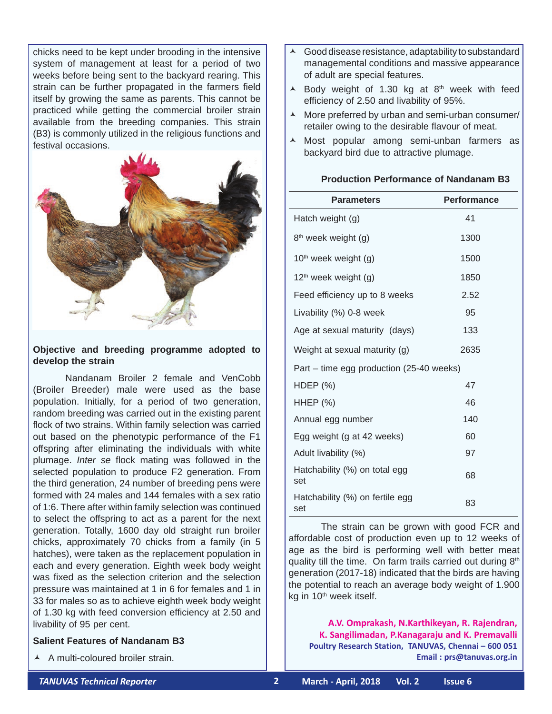chicks need to be kept under brooding in the intensive system of management at least for a period of two weeks before being sent to the backyard rearing. This strain can be further propagated in the farmers field itself by growing the same as parents. This cannot be practiced while getting the commercial broiler strain available from the breeding companies. This strain (B3) is commonly utilized in the religious functions and festival occasions.



#### **Objective and breeding programme adopted to develop the strain**

Nandanam Broiler 2 female and VenCobb (Broiler Breeder) male were used as the base population. Initially, for a period of two generation, random breeding was carried out in the existing parent flock of two strains. Within family selection was carried out based on the phenotypic performance of the F1 offspring after eliminating the individuals with white plumage. *Inter se* flock mating was followed in the selected population to produce F2 generation. From the third generation, 24 number of breeding pens were formed with 24 males and 144 females with a sex ratio of 1:6. There after within family selection was continued to select the offspring to act as a parent for the next generation. Totally, 1600 day old straight run broiler chicks, approximately 70 chicks from a family (in 5 hatches), were taken as the replacement population in each and every generation. Eighth week body weight was fixed as the selection criterion and the selection pressure was maintained at 1 in 6 for females and 1 in 33 for males so as to achieve eighth week body weight of 1.30 kg with feed conversion efficiency at 2.50 and livability of 95 per cent.

#### **Salient Features of Nandanam B3**

▲ A multi-coloured broiler strain.

- Good disease resistance, adaptability to substandard managemental conditions and massive appearance of adult are special features.
- $\triangle$  Body weight of 1.30 kg at 8<sup>th</sup> week with feed efficiency of 2.50 and livability of 95%.
- $\lambda$  More preferred by urban and semi-urban consumer/ retailer owing to the desirable flavour of meat.
- $\lambda$  Most popular among semi-unban farmers as backyard bird due to attractive plumage.

#### **Production Performance of Nandanam B3**

| <b>Parameters</b>                        | <b>Performance</b> |
|------------------------------------------|--------------------|
| Hatch weight (g)                         | 41                 |
| 8 <sup>th</sup> week weight (g)          | 1300               |
| $10th$ week weight (g)                   | 1500               |
| 12 <sup>th</sup> week weight (g)         | 1850               |
| Feed efficiency up to 8 weeks            | 2.52               |
| Livability (%) 0-8 week                  | 95                 |
| Age at sexual maturity (days)            | 133                |
| Weight at sexual maturity (g)            | 2635               |
| Part – time egg production (25-40 weeks) |                    |
| HDEP $(\%)$                              | 47                 |
| <b>HHEP (%)</b>                          | 46                 |
| Annual egg number                        | 140                |
| Egg weight (g at 42 weeks)               | 60                 |
| Adult livability (%)                     | 97                 |
| Hatchability (%) on total egg<br>set     | 68                 |
| Hatchability (%) on fertile egg<br>set   | 83                 |

The strain can be grown with good FCR and affordable cost of production even up to 12 weeks of age as the bird is performing well with better meat quality till the time. On farm trails carried out during  $8<sup>th</sup>$ generation (2017-18) indicated that the birds are having the potential to reach an average body weight of 1.900 kg in 10<sup>th</sup> week itself.

**A.V. Omprakash, N.Karthikeyan, R. Rajendran, K. Sangilimadan, P.Kanagaraju and K. Premavalli Poultry Research Station, TANUVAS, Chennai – 600 051 Email : prs@tanuvas.org.in**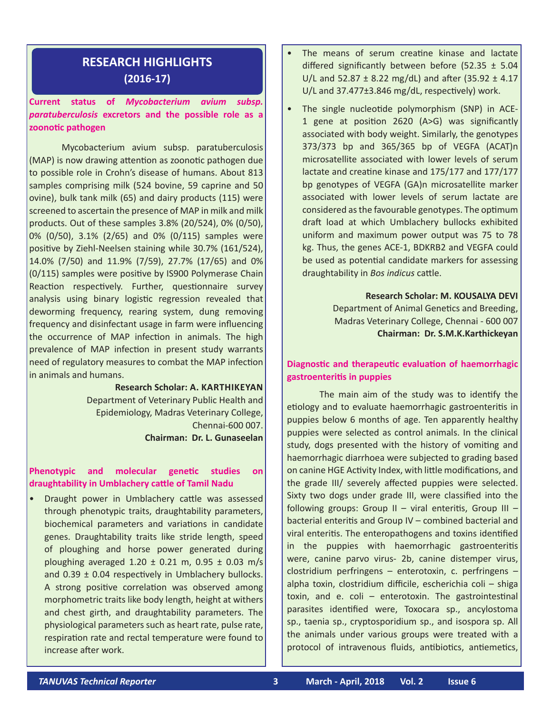### **RESEARCH HIGHLIGHTS (2016-17)**

#### **Current status of** *Mycobacterium avium subsp. paratuberculosis* **excretors and the possible role as a zoonotic pathogen**

Mycobacterium avium subsp. paratuberculosis (MAP) is now drawing attention as zoonotic pathogen due to possible role in Crohn's disease of humans. About 813 samples comprising milk (524 bovine, 59 caprine and 50 ovine), bulk tank milk (65) and dairy products (115) were screened to ascertain the presence of MAP in milk and milk products. Out of these samples 3.8% (20/524), 0% (0/50), 0% (0/50), 3.1% (2/65) and 0% (0/115) samples were positive by Ziehl-Neelsen staining while 30.7% (161/524), 14.0% (7/50) and 11.9% (7/59), 27.7% (17/65) and 0% (0/115) samples were positive by IS900 Polymerase Chain Reaction respectively. Further, questionnaire survey analysis using binary logistic regression revealed that deworming frequency, rearing system, dung removing frequency and disinfectant usage in farm were influencing the occurrence of MAP infection in animals. The high prevalence of MAP infection in present study warrants need of regulatory measures to combat the MAP infection in animals and humans.

> **Research Scholar: A. Karthikeyan** Department of Veterinary Public Health and Epidemiology, Madras Veterinary College, Chennai-600 007. **Chairman: Dr. L. Gunaseelan**

#### **Phenotypic and molecular genetic studies on draughtability in Umblachery cattle of Tamil Nadu**

• Draught power in Umblachery cattle was assessed through phenotypic traits, draughtability parameters, biochemical parameters and variations in candidate genes. Draughtability traits like stride length, speed of ploughing and horse power generated during ploughing averaged  $1.20 \pm 0.21$  m,  $0.95 \pm 0.03$  m/s and  $0.39 \pm 0.04$  respectively in Umblachery bullocks. A strong positive correlation was observed among morphometric traits like body length, height at withers and chest girth, and draughtability parameters. The physiological parameters such as heart rate, pulse rate, respiration rate and rectal temperature were found to increase after work.

- The means of serum creatine kinase and lactate differed significantly between before (52.35  $\pm$  5.04 U/L and 52.87  $\pm$  8.22 mg/dL) and after (35.92  $\pm$  4.17 U/L and 37.477±3.846 mg/dL, respectively) work.
- The single nucleotide polymorphism (SNP) in ACE-1 gene at position 2620 (A>G) was significantly associated with body weight. Similarly, the genotypes 373/373 bp and 365/365 bp of VEGFA (ACAT)n microsatellite associated with lower levels of serum lactate and creatine kinase and 175/177 and 177/177 bp genotypes of VEGFA (GA)n microsatellite marker associated with lower levels of serum lactate are considered as the favourable genotypes. The optimum draft load at which Umblachery bullocks exhibited uniform and maximum power output was 75 to 78 kg. Thus, the genes ACE-1, BDKRB2 and VEGFA could be used as potential candidate markers for assessing draughtability in *Bos indicus* cattle.

**Research Scholar: M. KOUSALYA DEVI** Department of Animal Genetics and Breeding, Madras Veterinary College, Chennai - 600 007 **Chairman: Dr. S.M.K.Karthickeyan**

#### **Diagnostic and therapeutic evaluation of haemorrhagic gastroenteritis in puppies**

The main aim of the study was to identify the etiology and to evaluate haemorrhagic gastroenteritis in puppies below 6 months of age. Ten apparently healthy puppies were selected as control animals. In the clinical study, dogs presented with the history of vomiting and haemorrhagic diarrhoea were subjected to grading based on canine HGE Activity Index, with little modifications, and the grade III/ severely affected puppies were selected. Sixty two dogs under grade III, were classified into the following groups: Group II – viral enteritis, Group III – bacterial enteritis and Group IV – combined bacterial and viral enteritis. The enteropathogens and toxins identified in the puppies with haemorrhagic gastroenteritis were, canine parvo virus- 2b, canine distemper virus, clostridium perfringens – enterotoxin, c. perfringens – alpha toxin, clostridium difficile, escherichia coli – shiga toxin, and e. coli – enterotoxin. The gastrointestinal parasites identified were, Toxocara sp., ancylostoma sp., taenia sp., cryptosporidium sp., and isospora sp. All the animals under various groups were treated with a protocol of intravenous fluids, antibiotics, antiemetics,